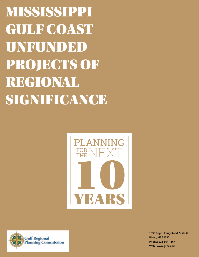MISSISSIPPI GULF COAST UNFUNDED PROJECTS OF REGIONAL SIGNIFICANCE





**1635 Popps Ferry Road, Suite G Biloxi, MS 39532 Phone: 228-864-1167 Web : www.grpc.com**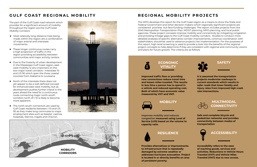The MPO develops this report for the Gulf Coast region as a means to show the State and Federal Government and other decision makers which regionally significant projects are considered priorities but face funding challenges. The report includes projects from the 2045 Metropolitan Transportation Plan, MDOT planning, MPO planning, and local public agencies. These project concepts improve mobility and connectivity by mitigating congestion and providing linkage gaps to the Gulf Coast mobility corridors. Studies to conduct more detailed analyses of specific alternative corridor improvements, continue coordination with stakeholders, should be used to advance projects into implementation. For the purposes of this report, high-level screening is used to provide a look into the benefits of the regional project concepts to help determine if they are consistent with regional and community visions and plans for future growth. The criteria are as follows:





# **MOBILITY MULTIMODAL CONNECTIVITY**

## **RESILIENCE ACCESSIBILITY**

# **REGIONAL MOBILITY PROJECTS**

**Improves mobility and reduces congestion measured using Level of Service (LOS) based on the volume to capacity ratio.**

**Safe and complete bicycle and pedestrian networks and provides connectivity between modes of transportation**

**Accessibility refers to the ease of reaching goods, services and activities. Reductions in Vehicle Hours Traveled (VHT) and Vehicle Miles Traveled (VMT) due to new access.**



**Provides alternatives or improvements to infrastructure that is repeatedly damaged by extreme weather or addresses hurricane evacuation. Project is located in or directly benefits an area of persistent poverty.** 



# **GULF COAST REGIONAL MOBILITY**

**It is assumed the transportation projects modernize roadways to current standards which results in safer roads that lower fatality and injury rates from improved high crash rate intersections.**

**Improved traffic flow or providing new connections reduce travel time and lessen miles traveled. This results in less time a person has to spend in a vehicle and reduced operating cost. Both of which have economic value measured by VHT and VMT.**



- Most relatively long-distance trips being made within the region are a combination of major arterial and interstate movements.
- **\*** These longer continuous routes carry a high proportion of traffic in the region providing accessibility between communities and major activity centers.
- **★** Due to the linearity of urban development in the Mississippi Gulf Coast region, eastwest mobility is very important on the two major travel corridors—Interstate 10 and US 90 which span the three coastal counties from Alabama to Louisiana.
- \* North of the interstate there does not yet appear to be a well-defined concept for enhanced east-west mobility, but as development pushes further inland in the years ahead the need for a continuous route connecting major north-south corridors north of I-10 is likely to become more apparent.
- \* The north-south connectors are used by Gulf Coast residents between I-10 and US 90 as they make long commutes to major employment sites such as Keesler, casinos, hospitals, Stennis, Ingalls and Chevron.



The part of the Gulf Coast road network which provides for a significant amount of mobility throughout the region are the *Gulf Coast Mobility Corridors.*

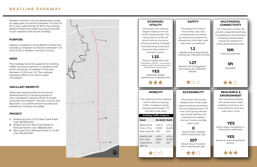### **ANCILLARY BENEFITS**

#### **PURPOSE**

Western Harrison County desperately needs an adequate connection between I-10 and US 90. A new road linking US 90 to the existing Beatline Road and widening would provide much needed north-south mobility.

Reduce congestion along Beatline Road and provide a consistent connection between I-10 and US 90 in Western Harrison County.

The roadway lacks the capacity for existing traffic and future growth. A suitable northsouth connector is needed in this area between US 90 and I-10. The roadway regularly suffers from storm water inundation.

Optimizes opportunities for economic development by improving access to the Long Beach Industrial Park. Provides entryway into Western Harrison County and Bay Saint Louis while enhancing bike and pedestrian mobility and safety.

- **1.** Widening from I-10 to Red Creek Road. Cost: \$22,800,000
- **2.** Widening from Red Creek Road to Railroad Street. Cost: \$88,800,000
- **3.** New road from Railroad Street to US 90. Cost: \$15,200,000

## **BEATLINE PARKWAY**

*Beatline Rd at Pineville Rd crashes per 1,000,000 vehicles Multiuse pathway* **1.2**

#### **PROJECT**

*Beatline Rd at Daugherty Rd crashes per 1,000,000 vehicles* **1.27**

# **10ft**





*Vehicle Hours Traveled (VHT) reduced per day* **207**

#### **ECONOMIC VITALITY**

This project will reduce the number, rate, and consequences of crashes by improving conditions at intersections with high crash rates with roundabouts..

### **SAFETY**

The improved corridor will include a separated pathway for pedestrians and bicyclists increasing transportation choices for residents to access goods and services.

#### **MULTIMODAL CONNECTIVITY**

### **MOBILITY**

This project will provide reliable travel times to job opportunities by providing a critical linkage between I-10 and US 90 giving vehicles new access between the interstate and western Harrison County and Bay Saint Louis..

### **ACCESSIBILITY**

This improved roadway will resolve storm water problems and serve as a more efficient hurricane evacuation route.

#### **RESILIENCE & ENVIRONMENT**



*Storm water inundation or evacuation addressed*

**YES** *Serves an area of persistent poverty*

*Addresses freight bottlenecks on Beatline Rd*





#### **YES**

| <b>No Build Build</b> |        |
|-----------------------|--------|
| I OS D                | LOS A  |
| 11.000                | 15,400 |
| ADT                   | ADT    |
| LOS C                 | I OS A |
| 9,300                 | 16,700 |
| ADT                   | ADT    |
|                       |        |

The widening of this roadway would relieve increasing traffic congestion being experienced between I-10 and Red Creek Road.

This project will improve freight mobility from the HCDC Industrial Park. The new access to US 90 will be stimulus to economic activity providing increased retail spending resulting in long-term job creation in Harrison County.

#### **Existing Traffic Impacts**



*Vehicle Miles Traveled (VMT) reduced per day* **<sup>0</sup>**









*Project cost/benefit ratio \* Provided by TREDIS - an economic analysis system for planning major transportation investments.*

## **1.33**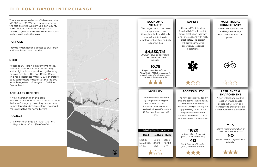

*Vehicle Hours Traveled (VHT) reduced per day* **413**







### **NEED**

### **ANCILLARY BENEFITS**

### **PURPOSE**

There are seven miles on I-10 between the MS 609 and MS 57 interchanges serving the fast growing western Jackson County communities. This interchange would provide significant improvement to access to destinations in this area.

Provide much needed access to St. Martin and Vancleave communities.

Access to St. Martin is extremely limited. The main entrance to this community and a high school is provided by the long, narrow, two-lane, Old Fort Bayou Road. This road intersects with MS 609, therefore daily commuters must exit at the MS 609 interchange from I-10 to get to Old Fort Bayou Road.

A new interchange in this area would spur residential development in west Jackson County by providing new access to developed/undeveloped land making it more attractive for home buyers.

**1.** New Interchange on I-10 at Old Fort Bayou Road. Cost: \$24,000,000

## **OLD FORT BAYOU INTERCHANGE**

### **PROJECT**

A new interchange at this location would enable people in St. Martin and Vancleave to quickly get on I-10 for hurricane evacuation.

### **Road No Build Build** MS 609 from I-10 to US 90 LOS C 33,000 ADT LOS C 32,000 ADT 10.78<br>
Stross/benefit ratio<br>
to the present ratio<br>
to the present ratio<br>
become the ploming mole of the property of the property of the property of the property and the property of the property of the property of the prope The new access provided by this project will give commuters a much improved alternative for travel reducing traffic on MS 57, Seaman Road and MS 609. **MOBILITY ACCESSIBILITY ECONOMIC SAFETY VITALITY 10.78** *Annual value of operating cost and travel time savings* **\$4,550,741** This project would decrease transportation costs through reliable and timely access for daily trips to employment centers and job opportunities **Existing Traffic Impacts** *Project cost/benefit ratio \* Provided by TREDIS - an economic analysis system for planning major transportation investments.*

The new access provided by this project will substantially reduce vehicle miles travelled (VMT) in the region by providing more direct daily access to essential services from the St. Martin and Vancleave communities.

There are no pedestrian and bicycle mobility improvements with this project.

Reduced Vehicle Miles Traveled (VMT) will result in fewer crashes on roadway and intersections with high crash rates. The project will provide improved emergency response operations.





### **RESILIENCE & ENVIRONMENT**

#### **MULTIMODAL CONNECTIVITY**

# *Vehicle Miles Traveled*  **11820**

*(VMT) reduced per day*

## **YES**

## **NO**

*Storm water inundation or evacuation addressed*





*Serves an area of persistent poverty*

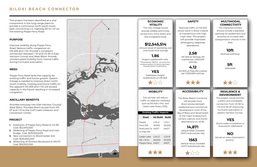*Vehicle Miles Traveled (VMT) reduced per day*

# **14,871**









#### **NEED**

#### **ANCILLARY BENEFITS**

#### **PURPOSE**

#### **PROJECT**

## **BILOXI BEACH CONNECTOR**

This project has been identified as a vital component in the long-range plans to provide a continuous north-south travel path connecting U.S. Highway 90 to I-10 via the existing Popps Ferry Road.

Improve mobility along Popps Ferry Road. Reduce traffic congestion on MS 605 and I-110. Provide a consistent connection between I-10 and US 90 in East Harrison County and West Biloxi. Provide uninterrupted mobility from marine traffic during hurricane evacuation.

Popps Ferry Road lacks the capacity for existing traffic and future growth. System linkage is needed to improve direct northsouth mobility. Existing and future traffic on the adjacent MS 605 and I-110 will exceed capacity in the future resulting in increased congestion.

Provides entryway into East Harrison County/ West Biloxi. Provides direct access from MS 67 and I-10 to the Gulf Coast Coliseum and Convention Center.

- **1.** Extension of Popps Ferry Road to US 90. Cost: \$12,000,000
- **2.** Widening of Popps Ferry Road and new bridge. Cost: \$125,000,000
- **3.** New connection to Woolmarket Exit. Cost: \$125,000,000
- **4.** Widening of Shriners Boulevard to MS 67. Cost: \$16,000,000

#### 大众众 *Project cost/benefit ratio \* Provided by TREDIS - an economic analysis system for planning major transportation investments.* **1.86** *Annual value of operating cost and travel time savings* **\$12,545,514** *Addresses freight bottlenecks on MS 605* **YES MOBILITY ACCESSIBILITY ECONOMIC SAFETY VITALITY** This new linkage would provide reliable and timely access from more direct and less congested travel. **Road No Build Build** Popps Ferry Rd. Riverview Dr to Pass Rd LOS E 19,000 AADT LOS C 29,000 AADT Cedar Lake Rd. I-10 to LOS D 26,000 LOS B 20,000 This corridor will reduce traffic on adjacent roadways such as MS 605 (-11%) and Cedar Lake Road (-23%). **Existing Traffic Impacts**

Reduced traffic on MS 605 would result in fewer crashes at intersections with high crash rates. The project will provide improved emergency response operations.

> *MS 605 at Seaway Rd crashes per 1,000,000 vehicles*

**2.58** *Multiuse pathway*

## **10ft**



The improved corridor should include a seprated pathway for pedestrians and bicyclists to increase safe transportation choices in the area.

## **NO**

*Vehicle Hours Traveled (VHT) reduced per day* **1563**

*Storm water inundation or evacuation addressed*

## **YES**

### **RESILIENCE & ENVIRONMENT**

### **MULTIMODAL CONNECTIVITY**

The Biloxi Beach Connector will provide more direct access between residential and commercial development north of the Bay of Biloxi and Woolmarket to the major employment centers, casinos, and tourist destinations on US 90.

This project would provide a direct and immediate connection from US 90 to I-10 and MS 67 improving hurricane evacuation in eastern Harrison County.

| влючну наню шрасся                                    |                 |                                |  |
|-------------------------------------------------------|-----------------|--------------------------------|--|
| Road                                                  | No Build        | <b>Build</b>                   |  |
| Popps<br>Ferry Rd.<br>Riverview Dr AADT<br>to Pass Rd | LOS E<br>19,000 | LOS C<br>29,000<br><b>AADT</b> |  |
| Cedar Lake<br>Rd. I-10 to<br>Popps Ferry AADT         | LOS D<br>26,000 | LOS B<br>20,000<br><b>AADT</b> |  |



*MS 605 at Pass Rd crashes per 1,000,000 vehicles* **4.12**



*Serves an area of persistent poverty*

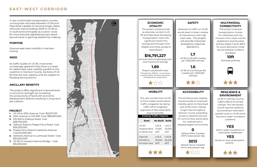#### **ANCILLARY BENEFITS**

#### **PURPOSE**

#### **PROJECT**

## **EAST-WEST CORRIDOR**

#### **RESILIENCE & ENVIRONMENT**

### **MOBILITY ACCESSIBILITY**

#### **MULTIMODAL CONNECTIVITY**

### **ECONOMIC SAFETY VITALITY**

*Multiuse pathway*

## **10ft**

This project improves transportation choices for individuals with the inclusion of an urban trail for pedestrians and bicyclists and Bus Rapid Transit (BRT) for quick alternative mode service between Gulfport and Biloxi.

US 90 in Harrison County suffers effects of climate change. This new facility would improve resiliency by providing a redundant parallel route to US 90 which has storm water inundation problems.

*Storm water inundation or evacuation addressed*

## **YES**

Reduced on traffic on US 90 would result in fewer crashes at intersections with high crash rates. The project will provide improved emergency response operations.

*US 90 at MS 605 crashes per 1,000,000 vehicles* **1.7**

*US 90 at Courthouse Rd crashes per 1,000,000 vehicles* **1.6**

**YES**

*Vehicle Hours Traveled (VHT) reduced per day*



# **3013**

As traffic builds on US 90, it becomes increasingly apparent that there is a need for added east-west mobility parallel to the coastline in Harrison County. Sections of US 90 that are over capacity and are subject to flooding during storms.

A new multimodal transportation corridor running east and west between US 90 and Pass Road capable of carrying longer, faster vehicular trips providing relief to US 90 so it could serve principally as a scenic route for more leisurely sightseeing trips, beach bound travel or gaming related trip-making.

The project offers significant improvements in economic strength by increasing the productivity of land with economic development districts resulting in long-term job creation.

Improve east-west mobility in Harrison County.

## **1.89**

*Annual value of operating cost and travel time savings*

## **\$16,791,227**

| Road                | <b>No Build Build</b> |        |
|---------------------|-----------------------|--------|
| US 90 -             | LOS E                 | I OS A |
| <b>Hopkins Blvd</b> | 41,000                | 23,000 |
| to White Ave        | ADT                   | ADT    |
| Pass Rd -           | LOS E                 | LOS B  |
| MS 605 to           | 30,000                | 20,000 |
| Anniston Ave        | ADT                   | ADT    |

This project would provide an alternate corridor to US 90 and Pass Road decreasing transportation costs with significant travel time savings and through more reliable and timely access to destinations.

This new corridor from US 49 to Point Cadet would reduce traffic congestion by taking traffic off of congested segments of Pass Road (32%) and US 90 (43%). **Existing Traffic Impacts**



- **1.** US 49 to 20th Avenue. Cost: \$16,571,913
- **2.** 20th Avenue to MS 605. Cost: \$89,500,000
- **3.** MS 605 to Debuys Road. Cost: \$38,700,000
- **4.** Debuys Road to Popps Ferry Road. Cost: \$39,200,000
- **5.** Popps Ferry Road to Veterans Avenue. Cost:36,300,000
- **6.** Veterans Avenue to Lameuse Street. Cost: \$94,600,000
- **7.** US 90 to Howard Avenue Bridge Cost: \$15,000,000

This limited access roadway would provide an improved mobility option to Pass Road and US 90 when making longer trips throughout Harrison County expanding access to essential services for communities, particularly for underserved or disadvantaged communities



*Vehicle Miles Traveled (VMT) reduced per day* **<sup>0</sup>**





*Serves an area of persistent poverty*





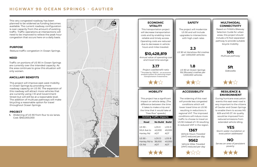This very congested roadway has been planned to be widened as funding becomes available. The current roadway configuration is over capacity from the amount of existing traffic. Traffic operations at intersections will need to be improved to relieve the peak hour congestion that occurs here on a daily basis.

#### **NEED**

#### **ANCILLARY BENEFITS**

#### **PURPOSE**

#### **PROJECT**

## **HIGHWAY 90 OCEAN SPRINGS - GAUTIER**

### **RESILIENCE & ENVIRONMENT**

### **MULTIMODAL CONNECTIVITY**

*US 90 at Hanshaw Rd crashes per 1,000,000 vehicles*

*US 90 at Ocean Springs Rd (Rouses) crashes per 1,000,000 vehicles*

# **2.3**

# **1.8**

The project will modernize US 90 and will include upgrades to intersections with high crash rates

*Multiuse pathway*

## **10ft**





## **NO**

#### *Vehicle Hours Traveled (VHT) reduced per day* **1367**

*Storm water inundation or evacuation addressed*



| US 90 -<br>LOS <sub>D</sub><br>LOS E<br>42,000<br>49,000<br>MLK Ave to<br>Hanley Rd<br>ADT<br>ADT<br>US 90 -<br>LOS <sub>B</sub><br>LOS D<br>Hanley Rd to 38,000<br>40,000<br>OS Rd<br><b>ADT</b><br><b>ADT</b> | Road | No Build Build |  |
|-----------------------------------------------------------------------------------------------------------------------------------------------------------------------------------------------------------------|------|----------------|--|
|                                                                                                                                                                                                                 |      |                |  |
|                                                                                                                                                                                                                 |      |                |  |
|                                                                                                                                                                                                                 |      |                |  |



Cost: \$160,000,000

Reduce traffic congestion in Ocean Springs.

Traffic on portions of US 90 in Ocean Springs are currently over the intended capacity. As the area continues to grow this situation will only worsen.

### **MOBILITY ACCESSIBILITY ECONOMIC SAFETY VITALITY 3.17** *Annual value of operating cost and travel time savings* **\$10,428,819 Road No Build Build** LOS E 42,000 ADT LOS D 49,000 ADT LOS D 38,000 ADT LOS B 40,000 ADT **Existing Traffic Impacts** This project has a significant impact on vehicle delay. (The difference between the time it takes to make a trip and the time that it would take at This transportation project will decrease transportation costs and by enabling more reliable and timely access. Operating costs are reduced due to decreases in vehicle hours and miles traveled. \*\*\* II \*\*\* II \*\*\* *Project cost/benefit ratio \* Provided by TREDIS - an economic analysis system for planning major transportation investments.*



This project will improve east-west mobility in Ocean Springs by providing more roadway capacity on US 90. The expansion of this roadway will attract more vehicles that are currently using I-10 and Government Street but will still be at a reasonable level. The addition of multiuse pathways will make bicycling a reasonable option for travel throughout Ocean Springs.

> *Vehicle Miles Traveled (VMT) reduced per day* **9562**



During hurricane evacuation events this east-west road is very important to the citizens of Gauiter and Ocean Springs to enable them to access MS 609 and MS 57. Air quality would be improved from reduced emissions from extended vehicle idling.

The widening of this road will provide less congested conditions which will lower travel time on US 90 resulting in reductions in regional VHT. The improved conditions will induce more traffic to choose to travel on US 90 instead of I-10 resulting in reduced VMT in the region.

Based on FHWA's Bikeway Selection Guide for urban areas, this project should include a 10-foot separated pathway to provide suitable bicycle mobility







*Serves an area of persistent poverty*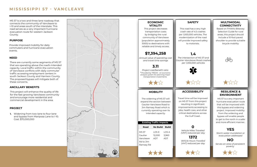#### **ANCILLARY BENEFITS**

#### **PURPOSE**

#### **PROJECT**

## **MISSISSIPPI 57 - VANCLEAVE**

### **RESILIENCE & ENVIRONMENT**

### **MOBILITY ACCESSIBILITY**

### **MULTIMODAL CONNECTIVITY**

### **ECONOMIC SAFETY VITALITY**

## **3.11**

*Annual value of operating cost and travel time savings*

## **\$7,394,258**

*Vehicle Hours Traveled (VHT) reduced per day* **1372**



*Storm water inundation or evacuation addressed*

## **YES**

MS 57 Gautier Vancleave Rd to Jim Ramsey Rd

**Existi** 

| intended capacity. |                                 |       |  |
|--------------------|---------------------------------|-------|--|
|                    | <b>Existing Traffic Impacts</b> |       |  |
| Road               | <b>No Build Build</b>           |       |  |
| .57                | LOS E                           | LOS A |  |
| utier              | 12,000                          | 3,960 |  |

ADT

ADT







*Vehicle Miles Traveled (VMT) reduced per day* **<sup>0</sup>**

The widening of MS 57 will expand the section between Gautier-Vancleave Road to Jim Ramsey Road which is currently operating over its inte

## **NO**

*The intersection of MS 57 and Gautier-Vancleave Road crashes per 1,000,000 vehicles*



**1.4**

Travel time will be improved on MS 57 from this project resulting in significant improvements accessing to jobs, health care, and other critical destinations across the Gulf Coast.

MS 57 is a very important hurricane evacuation route that will be improved with this bypass and widening project. Improved mobility from the widening and bypass will enable people to get to the north in a safer and more efficient manner..



This project decreases transportation costs by bridging the rural community of Vancleave (population approximately 5000) to destinations with

commuters and hurricane evacuation events.

There are currently some segments of MS 57 that are operating above the road's intended capacity. Local traffic within the community of Vancleave conflicts with daily commuter traffic accessing employment centers in south Jackson County and Harrison County. The proposed bypass will mitigate both of these concerns.

Based on FHWA's Bikeway Selection Guide for rural areas, this project should include a 10-foot paved shoulder to provide suitable bicycle mobility



This road has a very high crash rate of 4.5 crashes per 1,000,000 vehicles. The modernization of the road will provide improved safety to motorists.

MS 57 is a two and three lane roadway that connects the community of Vancleave to I-10 and areas south of the interstate. This road serves as a very important hurricane evacuation route for western Jackson County.

This project will enhance the quality of life for the fast growing Vancleave community and encourage more residential and commercial development in the area.

**1.** Widening from two-lane to four-lane and bypass from Mariposa Lane to I-10. Cost: \$70,000,000





*Serves an area of persistent poverty*



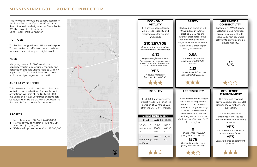#### **ANCILLARY BENEFITS**

#### **PURPOSE**

#### **PROJECT**

## **MISSISSIPPI 601 - PORT CONNECTOR**

## **4.13**

#### **ECONOMIC VITALITY**

### **RESILIENCE & ENVIRONMENT**

### **MOBILITY ACCESSIBILITY**

#### **MULTIMODAL CONNECTIVITY**

This new facility would be constructed from the State Port at Gulfport to I-10 at Canal Road. It would be designated as State Route 601, the project is also referred to as the Canal Road – Port Connector.

To alleviate congestion on US 49 in Gulfport. To remove truck traffic from local roads and increase the efficiency of freight travel.

This new route would provide an alternative route for tourists destined for beach front attractions, workers of the Gulfport CBD, including the Naval Construction Battalion Center, and for trucks traveling between the Port and I-10 and points farther north.

Many segments of US 49 are above capacity resulting in reduced mobility and congestion and it is undesirable to widen it any further. Truck travel time from the Port is hindered by congestion on US 49.

- **1.** Interchange on I-10. Cost: 24,000,000
- **2.** New roadway connecting I-10 and 30th Ave. Cost: \$70,000,000
- **3.** 30th Ave improvements. Cost: \$7,000,000

*Annual value of operating cost and travel time savings*

## **\$10,267,708**

Reduced on traffic on US 49 would result in fewer crashes. US 49 has the highest crash rates in the region among the other major north-south corridors at around 5.5 crashes per 1,000,000 vehicles.

*US 49 at Creosote Rd crashes per 1,000,000 vehicles*

## **2.58**

This new facility would provide a redundant parallel route to US 49 for hurricane evacuation.

Air quality would be improved from reduced emissions from vehicle idling on US 49.

*Storm water inundation or evacuation addressed*



### *Addresses freight*  **YES**

*bottlenecks on US 49*

**YES**

*Vehicle Hours Traveled (VHT) reduced per day* **1576**



| <b>Existing Traffic Impacts</b>       |                        |                        |  |
|---------------------------------------|------------------------|------------------------|--|
| Road                                  | No Build Build         |                        |  |
| US 49 - I-10<br>to Creosote<br>Rd     | LOS C<br>53.000<br>ADT | LOS B<br>46,000<br>ADT |  |
| $1-10$<br>interchange ADT<br>at US 49 | 37.000                 | 29,000<br><b>ADT</b>   |  |



*Vehicle Miles Traveled (VMT) reduced per day* **0**

![](_page_8_Picture_46.jpeg)

![](_page_8_Picture_47.jpeg)

The MS 601 port connector project would take 13% of the traffic off of US 49 and 22% off of the US 49 interchange.

Daily commuter and freight traffic would be provided an option to the unreliable US 49 improving the ability access jobs and services in a more efficient manner resulting in a reduction in Vehicle Hours Traveled (VHT) in the region.

![](_page_8_Picture_36.jpeg)

## **SAPETY**

This limited access facility will provide reliability and reduced costs for workers and goods.

Based on FHWA's Bikeway Selection Guide for urban areas, this project should include a 10-foot separated pathway to provide suitable bicycle mobility.

![](_page_8_Picture_21.jpeg)

![](_page_8_Picture_25.jpeg)

![](_page_8_Picture_31.jpeg)

*US 49 at Pass Rd crashes per 1,000,000 vehicles* **2.12**

> *Serves an area of persistent poverty*

![](_page_8_Picture_55.jpeg)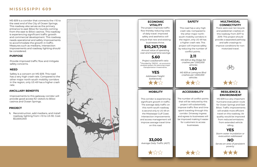### **ANCILLARY BENEFITS**

#### **PURPOSE**

#### **PROJECT**

## **MISSISSIPPI 609**

### **RESILIENCE & ENVIRONMENT**

### **MOBILITY ACCESSIBILITY**

### **MULTIMODAL CONNECTIVITY**

#### **ECONOMIC SAFETY VITALITY**

*Storm water inundation or evacuation addressed*

## **NO**

![](_page_9_Picture_42.jpeg)

*Addresses freight bottlenecks*

![](_page_9_Picture_19.jpeg)

| Y | г |  |  |
|---|---|--|--|
|   |   |  |  |

There were over ten bicycle and pedestrian crashes on this roadway from 2017 to 2019. This project should provide a separated pathway and safe crossings to improve conditions for nonmotorized travel.

![](_page_9_Picture_38.jpeg)

MS 609 is a corridor that connects the I-10 to the west end of the City of Ocean Springs. This roadway also serves as the primary entrance to east Biloxi for tourists coming from the east to Biloxi casinos. This roadway is experiencing significant traffic growth and commercial development. This roadway needs operational and safety improvements to accommodate the growth in traffic. Measures such as medians, intersection improvements and roadway lighting should be considered.

Provide improved traffic flow and mitigate safety concerns.

*MS 609 at Big Ridge Rd crashes per 1,000,000 vehicles*

*MS 609 at Lemoyne Blvd crashes per 1,000,000 vehicles* **1.80**

## **2.11**

This road has a very high crash rate. Compared to the other major northsouth mobility corridors in the region, only US 49 has a higher crash rate. This project will improve safety by reducing the number of conflict points.

**NO**<br> **NO**<br> **NO**<br> **NO**<br> **NO**<br> **NO**<br> **NO** MS 609 is a very important hurricane evacuation route for Ocean Springs and East Biloxi. Traffic improvements will enable more efficient travel on this roadway. Air quality would be improved from reduced emissions from extended vehicle idling. .

Safety is a concern on MS 609. This road has a very high crash rate. Compared to the other major north-south mobility corridors in the region, only US 49 has a higher crash rate.

Improvements to this gateway corridor will provide good access for visitors to Biloxi casinos and Ocean Springs.

The project improves traffic flow thereby reducing costs of daily travel. Improved safety and aesthetics will ensure that new and existing businesses thrive.

This corridor is experiencing significant growth in traffic. The average daily traffic on this north-south roadway is second only to US 49 on the Mississippi Gulf Coast. Intersection improvements and access management will improve average travel time on this road.

![](_page_9_Picture_22.jpeg)

The number of conflict points that will be reduced by this project will substantially improve traffic flow and time spent traveling through this corridor. Driveway ingress and egress to businesses will be improved making it easier for customers to access businesses.

![](_page_9_Picture_35.jpeg)

**1.** Reconstruction, add medians, and install roadway lighting from I-10 to US 90. Cost: \$12,600,000

![](_page_9_Figure_10.jpeg)

### **5.60**

*Annual value of operating cost and travel time savings*

## **\$10,267,708**

![](_page_9_Picture_46.jpeg)

![](_page_9_Picture_39.jpeg)

![](_page_9_Picture_23.jpeg)

![](_page_9_Picture_24.jpeg)

![](_page_9_Picture_32.jpeg)

*Serves an area of persistent poverty*